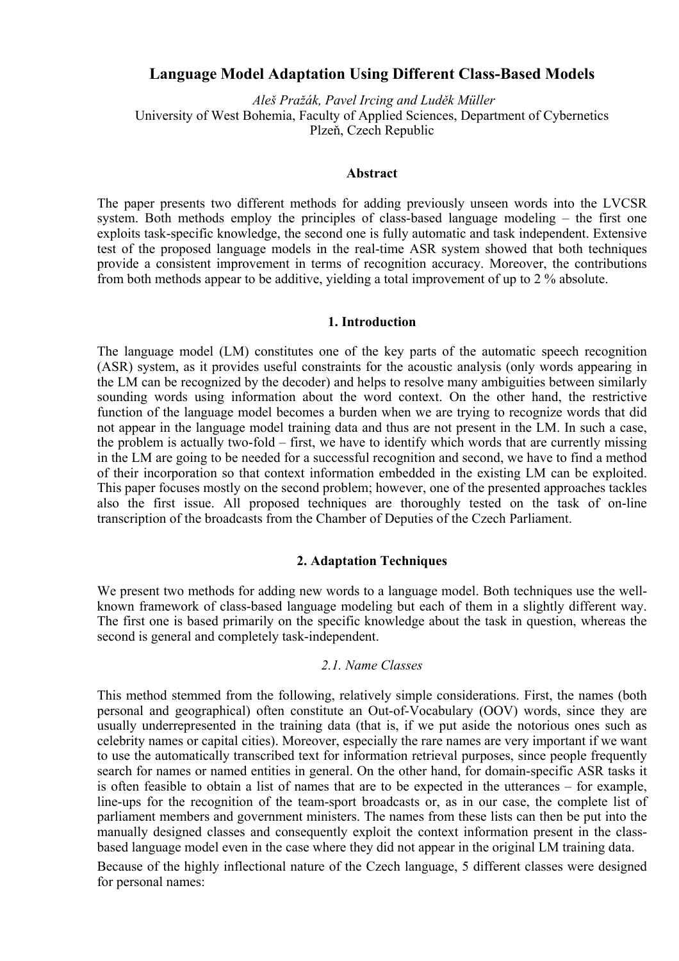# **Language Model Adaptation Using Different Class-Based Models**

 *Aleš Pražák, Pavel Ircing and Luděk Müller*  University of West Bohemia, Faculty of Applied Sciences, Department of Cybernetics Plzeň, Czech Republic

#### **Abstract**

The paper presents two different methods for adding previously unseen words into the LVCSR system. Both methods employ the principles of class-based language modeling – the first one exploits task-specific knowledge, the second one is fully automatic and task independent. Extensive test of the proposed language models in the real-time ASR system showed that both techniques provide a consistent improvement in terms of recognition accuracy. Moreover, the contributions from both methods appear to be additive, yielding a total improvement of up to 2 % absolute.

## **1. Introduction**

The language model (LM) constitutes one of the key parts of the automatic speech recognition (ASR) system, as it provides useful constraints for the acoustic analysis (only words appearing in the LM can be recognized by the decoder) and helps to resolve many ambiguities between similarly sounding words using information about the word context. On the other hand, the restrictive function of the language model becomes a burden when we are trying to recognize words that did not appear in the language model training data and thus are not present in the LM. In such a case, the problem is actually two-fold – first, we have to identify which words that are currently missing in the LM are going to be needed for a successful recognition and second, we have to find a method of their incorporation so that context information embedded in the existing LM can be exploited. This paper focuses mostly on the second problem; however, one of the presented approaches tackles also the first issue. All proposed techniques are thoroughly tested on the task of on-line transcription of the broadcasts from the Chamber of Deputies of the Czech Parliament.

## **2. Adaptation Techniques**

We present two methods for adding new words to a language model. Both techniques use the wellknown framework of class-based language modeling but each of them in a slightly different way. The first one is based primarily on the specific knowledge about the task in question, whereas the second is general and completely task-independent.

#### *2.1. Name Classes*

This method stemmed from the following, relatively simple considerations. First, the names (both personal and geographical) often constitute an Out-of-Vocabulary (OOV) words, since they are usually underrepresented in the training data (that is, if we put aside the notorious ones such as celebrity names or capital cities). Moreover, especially the rare names are very important if we want to use the automatically transcribed text for information retrieval purposes, since people frequently search for names or named entities in general. On the other hand, for domain-specific ASR tasks it is often feasible to obtain a list of names that are to be expected in the utterances – for example, line-ups for the recognition of the team-sport broadcasts or, as in our case, the complete list of parliament members and government ministers. The names from these lists can then be put into the manually designed classes and consequently exploit the context information present in the classbased language model even in the case where they did not appear in the original LM training data.

Because of the highly inflectional nature of the Czech language, 5 different classes were designed for personal names: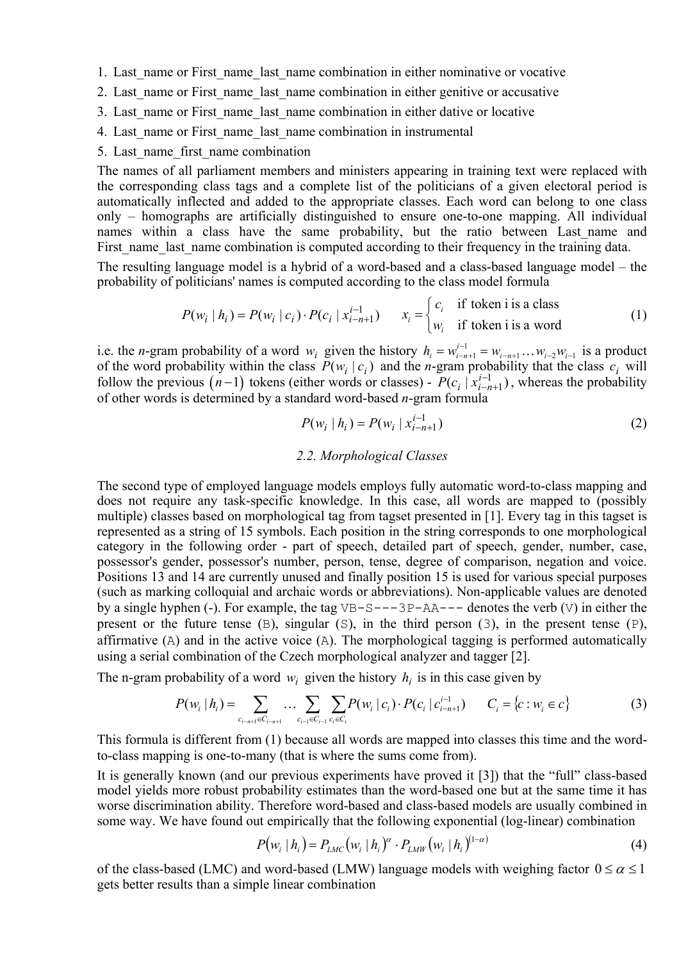- 1. Last name or First name last name combination in either nominative or vocative
- 2. Last name or First name last name combination in either genitive or accusative
- 3. Last name or First name last name combination in either dative or locative
- 4. Last name or First name last name combination in instrumental
- 5. Last name first name combination

The names of all parliament members and ministers appearing in training text were replaced with the corresponding class tags and a complete list of the politicians of a given electoral period is automatically inflected and added to the appropriate classes. Each word can belong to one class only – homographs are artificially distinguished to ensure one-to-one mapping. All individual names within a class have the same probability, but the ratio between Last name and First name last name combination is computed according to their frequency in the training data.

The resulting language model is a hybrid of a word-based and a class-based language model – the probability of politicians' names is computed according to the class model formula

$$
P(w_i | h_i) = P(w_i | c_i) \cdot P(c_i | x_{i-n+1}^{i-1}) \qquad x_i = \begin{cases} c_i & \text{if token i is a class} \\ w_i & \text{if token i is a word} \end{cases}
$$
 (1)

i.e. the *n*-gram probability of a word  $w_i$  given the history  $h_i = w_{i-n+1}^{i-1} - w_{i-n+1} \dots w_{i-2} w_{i-1}$  is a product of the word probability within the class  $P(w_i | c_i)$  and the *n*-gram probability that the class  $c_i$  will follow the previous  $(n-1)$  tokens (either words or classes) -  $P(c_i | x_{i-n+1}^{i-1})$ , whereas the probability of other words is determined by a standard word-based *n*-gram formula  $P(c_i | x_{i-n}^{i-1})$ 

$$
P(w_i | h_i) = P(w_i | x_{i-n+1}^{i-1})
$$
\n(2)

## *2.2. Morphological Classes*

The second type of employed language models employs fully automatic word-to-class mapping and does not require any task-specific knowledge. In this case, all words are mapped to (possibly multiple) classes based on morphological tag from tagset presented in [1]. Every tag in this tagset is represented as a string of 15 symbols. Each position in the string corresponds to one morphological category in the following order - part of speech, detailed part of speech, gender, number, case, possessor's gender, possessor's number, person, tense, degree of comparison, negation and voice. Positions 13 and 14 are currently unused and finally position 15 is used for various special purposes (such as marking colloquial and archaic words or abbreviations). Non-applicable values are denoted by a single hyphen (-). For example, the tag  $VB-S---3P-AA---$  denotes the verb (V) in either the present or the future tense (B), singular (S), in the third person (3), in the present tense (P), affirmative (A) and in the active voice (A). The morphological tagging is performed automatically using a serial combination of the Czech morphological analyzer and tagger [2].

The n-gram probability of a word  $w_i$  given the history  $h_i$  is in this case given by

$$
P(w_i | h_i) = \sum_{c_{i-n+1} \in C_{i-n+1}} \dots \sum_{c_{i-1} \in C_{i-1}} \sum_{c_i \in C_i} P(w_i | c_i) \cdot P(c_i | c_{i-n+1}^{i-1}) \qquad C_i = \{c : w_i \in c\}
$$
(3)

This formula is different from (1) because all words are mapped into classes this time and the wordto-class mapping is one-to-many (that is where the sums come from).

It is generally known (and our previous experiments have proved it [3]) that the "full" class-based model yields more robust probability estimates than the word-based one but at the same time it has worse discrimination ability. Therefore word-based and class-based models are usually combined in some way. We have found out empirically that the following exponential (log-linear) combination

$$
P(w_i | h_i) = P_{LMC}(w_i | h_i)^{\alpha} \cdot P_{LMW}(w_i | h_i)^{(1-\alpha)}
$$
(4)

of the class-based (LMC) and word-based (LMW) language models with weighing factor  $0 \le \alpha \le 1$ gets better results than a simple linear combination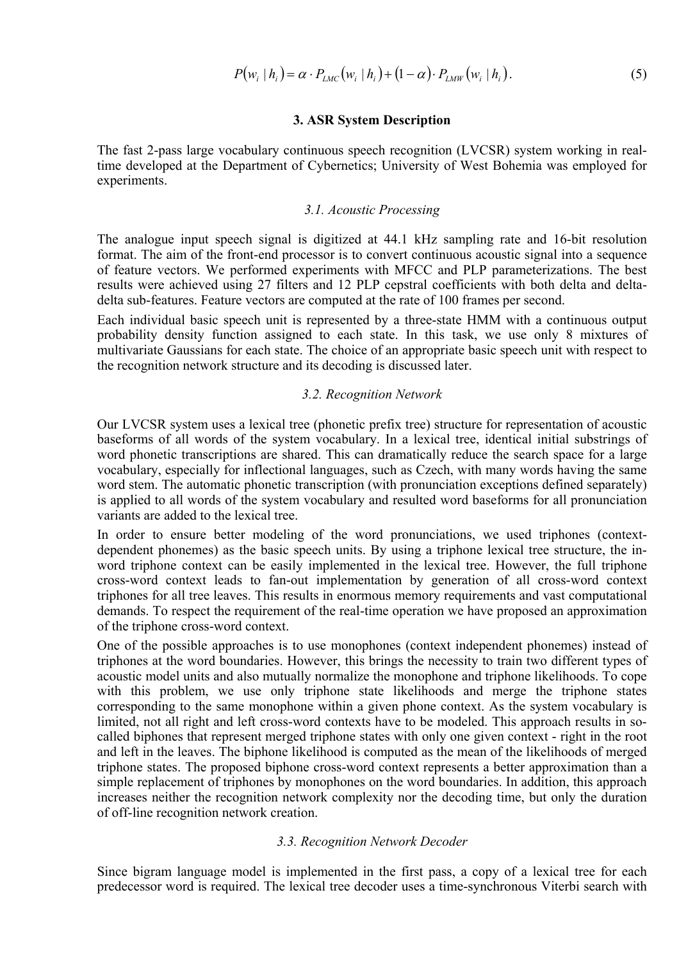$$
P(w_i | h_i) = \alpha \cdot P_{LMC}(w_i | h_i) + (1 - \alpha) \cdot P_{LMW}(w_i | h_i).
$$
 (5)

### **3. ASR System Description**

The fast 2-pass large vocabulary continuous speech recognition (LVCSR) system working in realtime developed at the Department of Cybernetics; University of West Bohemia was employed for experiments.

#### *3.1. Acoustic Processing*

The analogue input speech signal is digitized at 44.1 kHz sampling rate and 16-bit resolution format. The aim of the front-end processor is to convert continuous acoustic signal into a sequence of feature vectors. We performed experiments with MFCC and PLP parameterizations. The best results were achieved using 27 filters and 12 PLP cepstral coefficients with both delta and deltadelta sub-features. Feature vectors are computed at the rate of 100 frames per second.

Each individual basic speech unit is represented by a three-state HMM with a continuous output probability density function assigned to each state. In this task, we use only 8 mixtures of multivariate Gaussians for each state. The choice of an appropriate basic speech unit with respect to the recognition network structure and its decoding is discussed later.

#### *3.2. Recognition Network*

Our LVCSR system uses a lexical tree (phonetic prefix tree) structure for representation of acoustic baseforms of all words of the system vocabulary. In a lexical tree, identical initial substrings of word phonetic transcriptions are shared. This can dramatically reduce the search space for a large vocabulary, especially for inflectional languages, such as Czech, with many words having the same word stem. The automatic phonetic transcription (with pronunciation exceptions defined separately) is applied to all words of the system vocabulary and resulted word baseforms for all pronunciation variants are added to the lexical tree.

In order to ensure better modeling of the word pronunciations, we used triphones (contextdependent phonemes) as the basic speech units. By using a triphone lexical tree structure, the inword triphone context can be easily implemented in the lexical tree. However, the full triphone cross-word context leads to fan-out implementation by generation of all cross-word context triphones for all tree leaves. This results in enormous memory requirements and vast computational demands. To respect the requirement of the real-time operation we have proposed an approximation of the triphone cross-word context.

One of the possible approaches is to use monophones (context independent phonemes) instead of triphones at the word boundaries. However, this brings the necessity to train two different types of acoustic model units and also mutually normalize the monophone and triphone likelihoods. To cope with this problem, we use only triphone state likelihoods and merge the triphone states corresponding to the same monophone within a given phone context. As the system vocabulary is limited, not all right and left cross-word contexts have to be modeled. This approach results in socalled biphones that represent merged triphone states with only one given context - right in the root and left in the leaves. The biphone likelihood is computed as the mean of the likelihoods of merged triphone states. The proposed biphone cross-word context represents a better approximation than a simple replacement of triphones by monophones on the word boundaries. In addition, this approach increases neither the recognition network complexity nor the decoding time, but only the duration of off-line recognition network creation.

#### *3.3. Recognition Network Decoder*

Since bigram language model is implemented in the first pass, a copy of a lexical tree for each predecessor word is required. The lexical tree decoder uses a time-synchronous Viterbi search with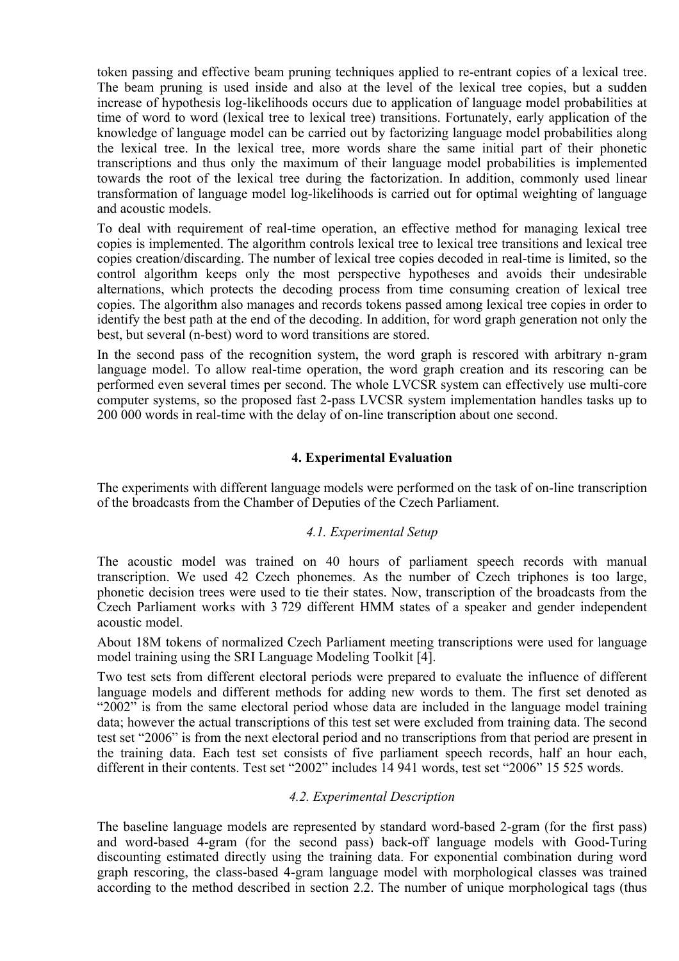token passing and effective beam pruning techniques applied to re-entrant copies of a lexical tree. The beam pruning is used inside and also at the level of the lexical tree copies, but a sudden increase of hypothesis log-likelihoods occurs due to application of language model probabilities at time of word to word (lexical tree to lexical tree) transitions. Fortunately, early application of the knowledge of language model can be carried out by factorizing language model probabilities along the lexical tree. In the lexical tree, more words share the same initial part of their phonetic transcriptions and thus only the maximum of their language model probabilities is implemented towards the root of the lexical tree during the factorization. In addition, commonly used linear transformation of language model log-likelihoods is carried out for optimal weighting of language and acoustic models.

To deal with requirement of real-time operation, an effective method for managing lexical tree copies is implemented. The algorithm controls lexical tree to lexical tree transitions and lexical tree copies creation/discarding. The number of lexical tree copies decoded in real-time is limited, so the control algorithm keeps only the most perspective hypotheses and avoids their undesirable alternations, which protects the decoding process from time consuming creation of lexical tree copies. The algorithm also manages and records tokens passed among lexical tree copies in order to identify the best path at the end of the decoding. In addition, for word graph generation not only the best, but several (n-best) word to word transitions are stored.

In the second pass of the recognition system, the word graph is rescored with arbitrary n-gram language model. To allow real-time operation, the word graph creation and its rescoring can be performed even several times per second. The whole LVCSR system can effectively use multi-core computer systems, so the proposed fast 2-pass LVCSR system implementation handles tasks up to 200 000 words in real-time with the delay of on-line transcription about one second.

# **4. Experimental Evaluation**

The experiments with different language models were performed on the task of on-line transcription of the broadcasts from the Chamber of Deputies of the Czech Parliament.

## *4.1. Experimental Setup*

The acoustic model was trained on 40 hours of parliament speech records with manual transcription. We used 42 Czech phonemes. As the number of Czech triphones is too large, phonetic decision trees were used to tie their states. Now, transcription of the broadcasts from the Czech Parliament works with 3 729 different HMM states of a speaker and gender independent acoustic model.

About 18M tokens of normalized Czech Parliament meeting transcriptions were used for language model training using the SRI Language Modeling Toolkit [4].

Two test sets from different electoral periods were prepared to evaluate the influence of different language models and different methods for adding new words to them. The first set denoted as "2002" is from the same electoral period whose data are included in the language model training data; however the actual transcriptions of this test set were excluded from training data. The second test set "2006" is from the next electoral period and no transcriptions from that period are present in the training data. Each test set consists of five parliament speech records, half an hour each, different in their contents. Test set "2002" includes 14 941 words, test set "2006" 15 525 words.

# *4.2. Experimental Description*

The baseline language models are represented by standard word-based 2-gram (for the first pass) and word-based 4-gram (for the second pass) back-off language models with Good-Turing discounting estimated directly using the training data. For exponential combination during word graph rescoring, the class-based 4-gram language model with morphological classes was trained according to the method described in section 2.2. The number of unique morphological tags (thus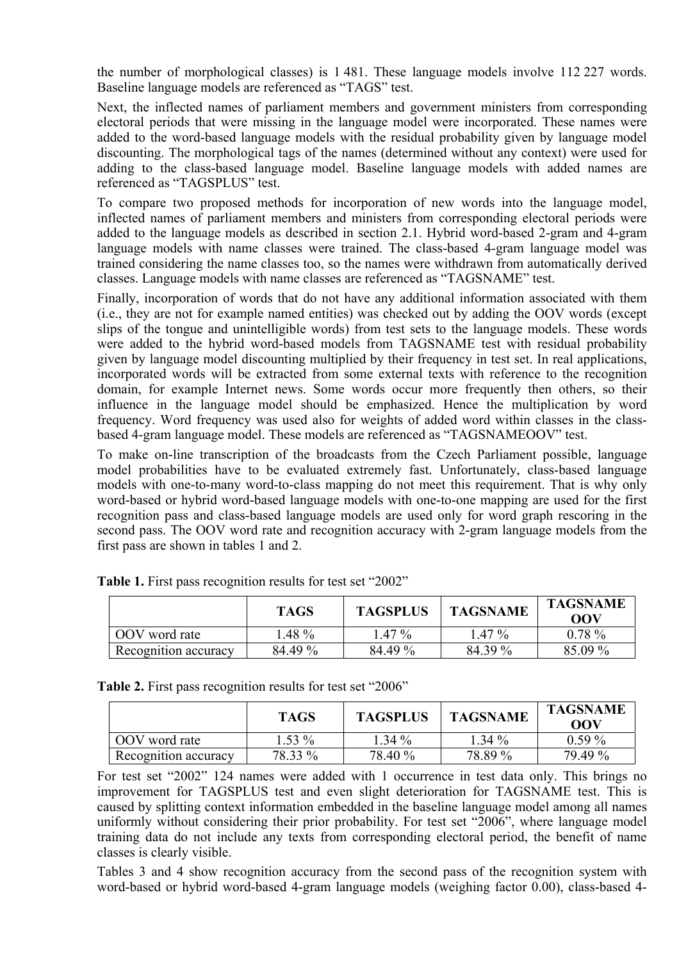the number of morphological classes) is 1 481. These language models involve 112 227 words. Baseline language models are referenced as "TAGS" test.

Next, the inflected names of parliament members and government ministers from corresponding electoral periods that were missing in the language model were incorporated. These names were added to the word-based language models with the residual probability given by language model discounting. The morphological tags of the names (determined without any context) were used for adding to the class-based language model. Baseline language models with added names are referenced as "TAGSPLUS" test.

To compare two proposed methods for incorporation of new words into the language model, inflected names of parliament members and ministers from corresponding electoral periods were added to the language models as described in section 2.1. Hybrid word-based 2-gram and 4-gram language models with name classes were trained. The class-based 4-gram language model was trained considering the name classes too, so the names were withdrawn from automatically derived classes. Language models with name classes are referenced as "TAGSNAME" test.

Finally, incorporation of words that do not have any additional information associated with them (i.e., they are not for example named entities) was checked out by adding the OOV words (except slips of the tongue and unintelligible words) from test sets to the language models. These words were added to the hybrid word-based models from TAGSNAME test with residual probability given by language model discounting multiplied by their frequency in test set. In real applications, incorporated words will be extracted from some external texts with reference to the recognition domain, for example Internet news. Some words occur more frequently then others, so their influence in the language model should be emphasized. Hence the multiplication by word frequency. Word frequency was used also for weights of added word within classes in the classbased 4-gram language model. These models are referenced as "TAGSNAMEOOV" test.

To make on-line transcription of the broadcasts from the Czech Parliament possible, language model probabilities have to be evaluated extremely fast. Unfortunately, class-based language models with one-to-many word-to-class mapping do not meet this requirement. That is why only word-based or hybrid word-based language models with one-to-one mapping are used for the first recognition pass and class-based language models are used only for word graph rescoring in the second pass. The OOV word rate and recognition accuracy with 2-gram language models from the first pass are shown in tables 1 and 2.

|                      | <b>TAGS</b> | <b>TAGSPLUS</b> | <b>TAGSNAME</b> | <b>TAGSNAME</b><br>OOV |
|----------------------|-------------|-----------------|-----------------|------------------------|
| OOV word rate        | $.48\%$     | $1.47\%$        | $1.47\%$        | $0.78 \%$              |
| Recognition accuracy | 84.49 %     | 84.49 %         | 84.39 %         | 85.09 %                |

Table 1. First pass recognition results for test set "2002"

**Table 2.** First pass recognition results for test set "2006"

|                      | <b>TAGS</b> | <b>TAGSPLUS</b> | <b>TAGSNAME</b> | <b>TAGSNAME</b><br>OOV |
|----------------------|-------------|-----------------|-----------------|------------------------|
| OOV word rate        | $1.53\%$    | $1.34\%$        | $1.34\%$        | $0.59\%$               |
| Recognition accuracy | 78.33 %     | 78.40 %         | 78.89 %         | 79.49 %                |

For test set "2002" 124 names were added with 1 occurrence in test data only. This brings no improvement for TAGSPLUS test and even slight deterioration for TAGSNAME test. This is caused by splitting context information embedded in the baseline language model among all names uniformly without considering their prior probability. For test set "2006", where language model training data do not include any texts from corresponding electoral period, the benefit of name classes is clearly visible.

Tables 3 and 4 show recognition accuracy from the second pass of the recognition system with word-based or hybrid word-based 4-gram language models (weighing factor 0.00), class-based 4-